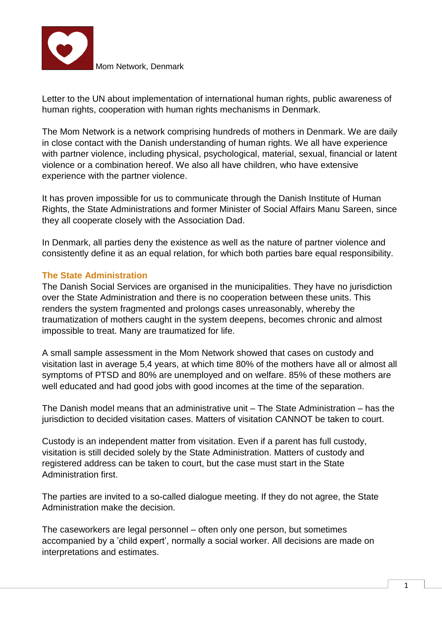

Letter to the UN about implementation of international human rights, public awareness of human rights, cooperation with human rights mechanisms in Denmark.

The Mom Network is a network comprising hundreds of mothers in Denmark. We are daily in close contact with the Danish understanding of human rights. We all have experience with partner violence, including physical, psychological, material, sexual, financial or latent violence or a combination hereof. We also all have children, who have extensive experience with the partner violence.

It has proven impossible for us to communicate through the Danish Institute of Human Rights, the State Administrations and former Minister of Social Affairs Manu Sareen, since they all cooperate closely with the Association Dad.

In Denmark, all parties deny the existence as well as the nature of partner violence and consistently define it as an equal relation, for which both parties bare equal responsibility.

### **The State Administration**

The Danish Social Services are organised in the municipalities. They have no jurisdiction over the State Administration and there is no cooperation between these units. This renders the system fragmented and prolongs cases unreasonably, whereby the traumatization of mothers caught in the system deepens, becomes chronic and almost impossible to treat. Many are traumatized for life.

A small sample assessment in the Mom Network showed that cases on custody and visitation last in average 5,4 years, at which time 80% of the mothers have all or almost all symptoms of PTSD and 80% are unemployed and on welfare. 85% of these mothers are well educated and had good jobs with good incomes at the time of the separation.

The Danish model means that an administrative unit – The State Administration – has the jurisdiction to decided visitation cases. Matters of visitation CANNOT be taken to court.

Custody is an independent matter from visitation. Even if a parent has full custody, visitation is still decided solely by the State Administration. Matters of custody and registered address can be taken to court, but the case must start in the State Administration first.

The parties are invited to a so-called dialogue meeting. If they do not agree, the State Administration make the decision.

The caseworkers are legal personnel – often only one person, but sometimes accompanied by a 'child expert', normally a social worker. All decisions are made on interpretations and estimates.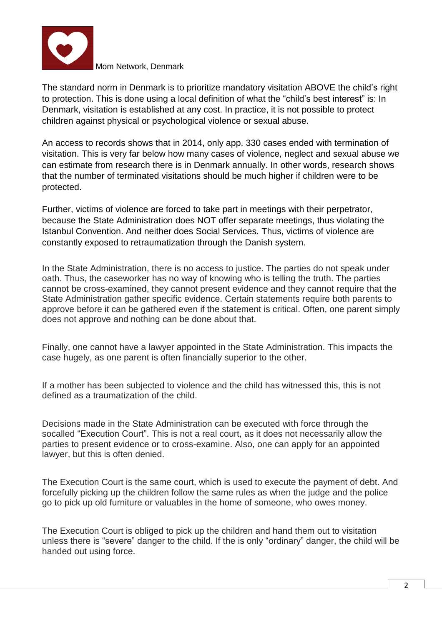

The standard norm in Denmark is to prioritize mandatory visitation ABOVE the child's right to protection. This is done using a local definition of what the "child's best interest" is: In Denmark, visitation is established at any cost. In practice, it is not possible to protect children against physical or psychological violence or sexual abuse.

An access to records shows that in 2014, only app. 330 cases ended with termination of visitation. This is very far below how many cases of violence, neglect and sexual abuse we can estimate from research there is in Denmark annually. In other words, research shows that the number of terminated visitations should be much higher if children were to be protected.

Further, victims of violence are forced to take part in meetings with their perpetrator, because the State Administration does NOT offer separate meetings, thus violating the Istanbul Convention. And neither does Social Services. Thus, victims of violence are constantly exposed to retraumatization through the Danish system.

In the State Administration, there is no access to justice. The parties do not speak under oath. Thus, the caseworker has no way of knowing who is telling the truth. The parties cannot be cross-examined, they cannot present evidence and they cannot require that the State Administration gather specific evidence. Certain statements require both parents to approve before it can be gathered even if the statement is critical. Often, one parent simply does not approve and nothing can be done about that.

Finally, one cannot have a lawyer appointed in the State Administration. This impacts the case hugely, as one parent is often financially superior to the other.

If a mother has been subjected to violence and the child has witnessed this, this is not defined as a traumatization of the child.

Decisions made in the State Administration can be executed with force through the socalled "Execution Court". This is not a real court, as it does not necessarily allow the parties to present evidence or to cross-examine. Also, one can apply for an appointed lawyer, but this is often denied.

The Execution Court is the same court, which is used to execute the payment of debt. And forcefully picking up the children follow the same rules as when the judge and the police go to pick up old furniture or valuables in the home of someone, who owes money.

The Execution Court is obliged to pick up the children and hand them out to visitation unless there is "severe" danger to the child. If the is only "ordinary" danger, the child will be handed out using force.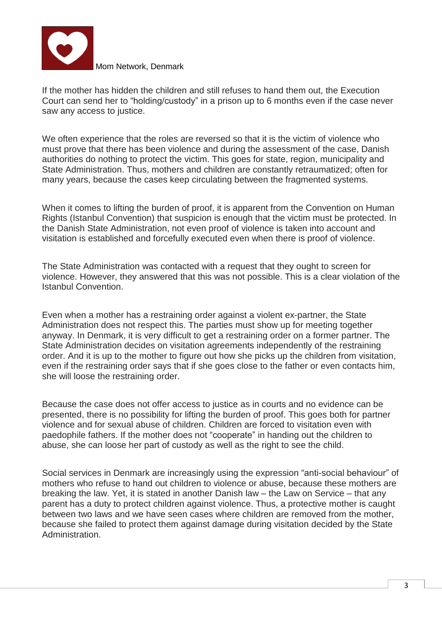

If the mother has hidden the children and still refuses to hand them out, the Execution Court can send her to "holding/custody" in a prison up to 6 months even if the case never saw any access to justice.

We often experience that the roles are reversed so that it is the victim of violence who must prove that there has been violence and during the assessment of the case, Danish authorities do nothing to protect the victim. This goes for state, region, municipality and State Administration. Thus, mothers and children are constantly retraumatized; often for many years, because the cases keep circulating between the fragmented systems.

When it comes to lifting the burden of proof, it is apparent from the Convention on Human Rights (Istanbul Convention) that suspicion is enough that the victim must be protected. In the Danish State Administration, not even proof of violence is taken into account and visitation is established and forcefully executed even when there is proof of violence.

The State Administration was contacted with a request that they ought to screen for violence. However, they answered that this was not possible. This is a clear violation of the Istanbul Convention.

Even when a mother has a restraining order against a violent ex-partner, the State Administration does not respect this. The parties must show up for meeting together anyway. In Denmark, it is very difficult to get a restraining order on a former partner. The State Administration decides on visitation agreements independently of the restraining order. And it is up to the mother to figure out how she picks up the children from visitation, even if the restraining order says that if she goes close to the father or even contacts him, she will loose the restraining order.

Because the case does not offer access to justice as in courts and no evidence can be presented, there is no possibility for lifting the burden of proof. This goes both for partner violence and for sexual abuse of children. Children are forced to visitation even with paedophile fathers. If the mother does not "cooperate" in handing out the children to abuse, she can loose her part of custody as well as the right to see the child.

Social services in Denmark are increasingly using the expression "anti-social behaviour" of mothers who refuse to hand out children to violence or abuse, because these mothers are breaking the law. Yet, it is stated in another Danish law – the Law on Service – that any parent has a duty to protect children against violence. Thus, a protective mother is caught between two laws and we have seen cases where children are removed from the mother, because she failed to protect them against damage during visitation decided by the State Administration.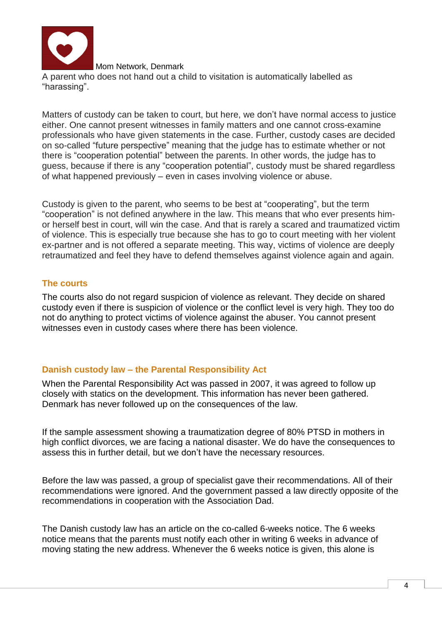

Mom Network, Denmark A parent who does not hand out a child to visitation is automatically labelled as "harassing".

Matters of custody can be taken to court, but here, we don't have normal access to justice either. One cannot present witnesses in family matters and one cannot cross-examine professionals who have given statements in the case. Further, custody cases are decided on so-called "future perspective" meaning that the judge has to estimate whether or not there is "cooperation potential" between the parents. In other words, the judge has to guess, because if there is any "cooperation potential", custody must be shared regardless of what happened previously – even in cases involving violence or abuse.

Custody is given to the parent, who seems to be best at "cooperating", but the term "cooperation" is not defined anywhere in the law. This means that who ever presents himor herself best in court, will win the case. And that is rarely a scared and traumatized victim of violence. This is especially true because she has to go to court meeting with her violent ex-partner and is not offered a separate meeting. This way, victims of violence are deeply retraumatized and feel they have to defend themselves against violence again and again.

# **The courts**

The courts also do not regard suspicion of violence as relevant. They decide on shared custody even if there is suspicion of violence or the conflict level is very high. They too do not do anything to protect victims of violence against the abuser. You cannot present witnesses even in custody cases where there has been violence.

# **Danish custody law – the Parental Responsibility Act**

When the Parental Responsibility Act was passed in 2007, it was agreed to follow up closely with statics on the development. This information has never been gathered. Denmark has never followed up on the consequences of the law.

If the sample assessment showing a traumatization degree of 80% PTSD in mothers in high conflict divorces, we are facing a national disaster. We do have the consequences to assess this in further detail, but we don't have the necessary resources.

Before the law was passed, a group of specialist gave their recommendations. All of their recommendations were ignored. And the government passed a law directly opposite of the recommendations in cooperation with the Association Dad.

The Danish custody law has an article on the co-called 6-weeks notice. The 6 weeks notice means that the parents must notify each other in writing 6 weeks in advance of moving stating the new address. Whenever the 6 weeks notice is given, this alone is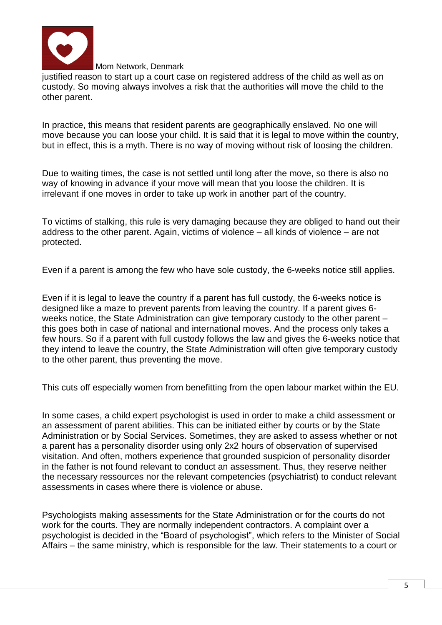

justified reason to start up a court case on registered address of the child as well as on custody. So moving always involves a risk that the authorities will move the child to the other parent.

In practice, this means that resident parents are geographically enslaved. No one will move because you can loose your child. It is said that it is legal to move within the country, but in effect, this is a myth. There is no way of moving without risk of loosing the children.

Due to waiting times, the case is not settled until long after the move, so there is also no way of knowing in advance if your move will mean that you loose the children. It is irrelevant if one moves in order to take up work in another part of the country.

To victims of stalking, this rule is very damaging because they are obliged to hand out their address to the other parent. Again, victims of violence – all kinds of violence – are not protected.

Even if a parent is among the few who have sole custody, the 6-weeks notice still applies.

Even if it is legal to leave the country if a parent has full custody, the 6-weeks notice is designed like a maze to prevent parents from leaving the country. If a parent gives 6 weeks notice, the State Administration can give temporary custody to the other parent – this goes both in case of national and international moves. And the process only takes a few hours. So if a parent with full custody follows the law and gives the 6-weeks notice that they intend to leave the country, the State Administration will often give temporary custody to the other parent, thus preventing the move.

This cuts off especially women from benefitting from the open labour market within the EU.

In some cases, a child expert psychologist is used in order to make a child assessment or an assessment of parent abilities. This can be initiated either by courts or by the State Administration or by Social Services. Sometimes, they are asked to assess whether or not a parent has a personality disorder using only 2x2 hours of observation of supervised visitation. And often, mothers experience that grounded suspicion of personality disorder in the father is not found relevant to conduct an assessment. Thus, they reserve neither the necessary ressources nor the relevant competencies (psychiatrist) to conduct relevant assessments in cases where there is violence or abuse.

Psychologists making assessments for the State Administration or for the courts do not work for the courts. They are normally independent contractors. A complaint over a psychologist is decided in the "Board of psychologist", which refers to the Minister of Social Affairs – the same ministry, which is responsible for the law. Their statements to a court or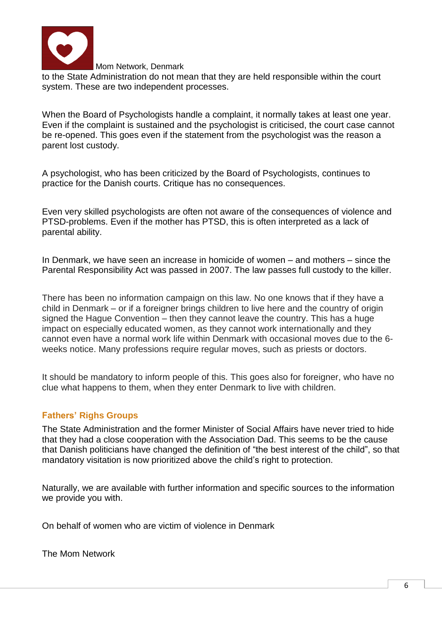

to the State Administration do not mean that they are held responsible within the court system. These are two independent processes.

When the Board of Psychologists handle a complaint, it normally takes at least one year. Even if the complaint is sustained and the psychologist is criticised, the court case cannot be re-opened. This goes even if the statement from the psychologist was the reason a parent lost custody.

A psychologist, who has been criticized by the Board of Psychologists, continues to practice for the Danish courts. Critique has no consequences.

Even very skilled psychologists are often not aware of the consequences of violence and PTSD-problems. Even if the mother has PTSD, this is often interpreted as a lack of parental ability.

In Denmark, we have seen an increase in homicide of women – and mothers – since the Parental Responsibility Act was passed in 2007. The law passes full custody to the killer.

There has been no information campaign on this law. No one knows that if they have a child in Denmark – or if a foreigner brings children to live here and the country of origin signed the Hague Convention – then they cannot leave the country. This has a huge impact on especially educated women, as they cannot work internationally and they cannot even have a normal work life within Denmark with occasional moves due to the 6 weeks notice. Many professions require regular moves, such as priests or doctors.

It should be mandatory to inform people of this. This goes also for foreigner, who have no clue what happens to them, when they enter Denmark to live with children.

### **Fathers' Righs Groups**

The State Administration and the former Minister of Social Affairs have never tried to hide that they had a close cooperation with the Association Dad. This seems to be the cause that Danish politicians have changed the definition of "the best interest of the child", so that mandatory visitation is now prioritized above the child's right to protection.

Naturally, we are available with further information and specific sources to the information we provide you with.

On behalf of women who are victim of violence in Denmark

The Mom Network